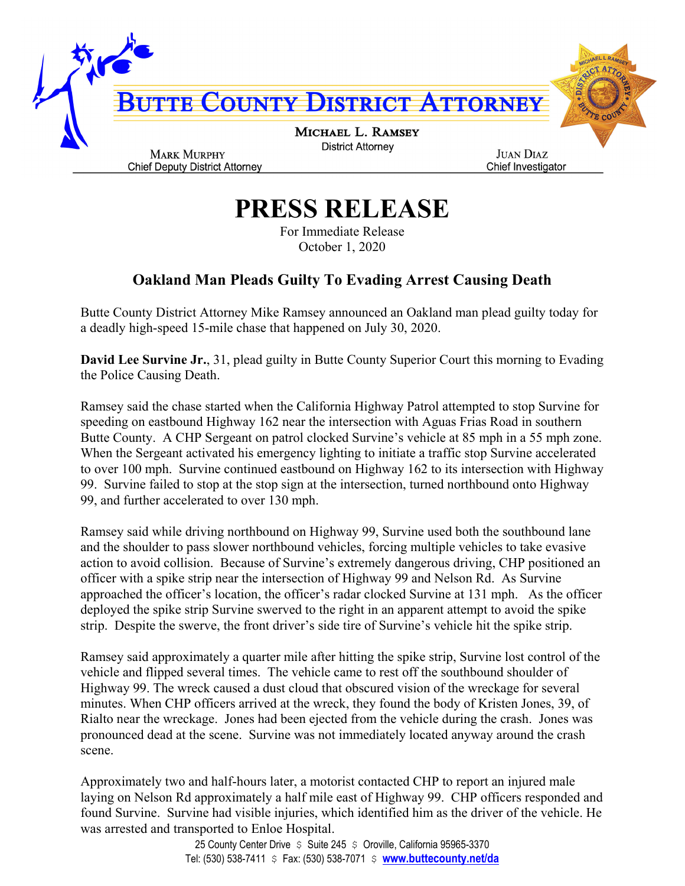

## **PRESS RELEASE**

For Immediate Release October 1, 2020

## **Oakland Man Pleads Guilty To Evading Arrest Causing Death**

Butte County District Attorney Mike Ramsey announced an Oakland man plead guilty today for a deadly high-speed 15-mile chase that happened on July 30, 2020.

**David Lee Survine Jr.**, 31, plead guilty in Butte County Superior Court this morning to Evading the Police Causing Death.

Ramsey said the chase started when the California Highway Patrol attempted to stop Survine for speeding on eastbound Highway 162 near the intersection with Aguas Frias Road in southern Butte County. A CHP Sergeant on patrol clocked Survine's vehicle at 85 mph in a 55 mph zone. When the Sergeant activated his emergency lighting to initiate a traffic stop Survine accelerated to over 100 mph. Survine continued eastbound on Highway 162 to its intersection with Highway 99. Survine failed to stop at the stop sign at the intersection, turned northbound onto Highway 99, and further accelerated to over 130 mph.

Ramsey said while driving northbound on Highway 99, Survine used both the southbound lane and the shoulder to pass slower northbound vehicles, forcing multiple vehicles to take evasive action to avoid collision. Because of Survine's extremely dangerous driving, CHP positioned an officer with a spike strip near the intersection of Highway 99 and Nelson Rd. As Survine approached the officer's location, the officer's radar clocked Survine at 131 mph. As the officer deployed the spike strip Survine swerved to the right in an apparent attempt to avoid the spike strip. Despite the swerve, the front driver's side tire of Survine's vehicle hit the spike strip.

Ramsey said approximately a quarter mile after hitting the spike strip, Survine lost control of the vehicle and flipped several times. The vehicle came to rest off the southbound shoulder of Highway 99. The wreck caused a dust cloud that obscured vision of the wreckage for several minutes. When CHP officers arrived at the wreck, they found the body of Kristen Jones, 39, of Rialto near the wreckage. Jones had been ejected from the vehicle during the crash. Jones was pronounced dead at the scene. Survine was not immediately located anyway around the crash scene.

Approximately two and half-hours later, a motorist contacted CHP to report an injured male laying on Nelson Rd approximately a half mile east of Highway 99. CHP officers responded and found Survine. Survine had visible injuries, which identified him as the driver of the vehicle. He was arrested and transported to Enloe Hospital.

> 25 County Center Drive  $\sin 245$   $\sin 245$  Coroville, California 95965-3370 Tel: (530) 538-7411 \$ Fax: (530) 538-7071 \$ **www.buttecounty.net/da**